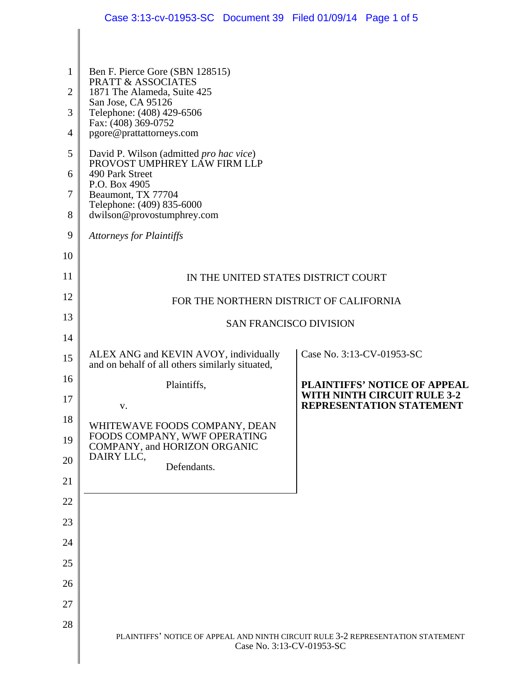|                     | Case 3:13-cv-01953-SC Document 39 Filed 01/09/14 Page 1 of 5                                                  |                                                                |  |
|---------------------|---------------------------------------------------------------------------------------------------------------|----------------------------------------------------------------|--|
|                     |                                                                                                               |                                                                |  |
|                     |                                                                                                               |                                                                |  |
| 1<br>$\overline{2}$ | Ben F. Pierce Gore (SBN 128515)<br><b>PRATT &amp; ASSOCIATES</b><br>1871 The Alameda, Suite 425               |                                                                |  |
| 3                   | San Jose, CA 95126<br>Telephone: (408) 429-6506                                                               |                                                                |  |
| 4                   | Fax: (408) 369-0752<br>pgore@prattattorneys.com                                                               |                                                                |  |
| 5                   | David P. Wilson (admitted pro hac vice)<br>PROVOST UMPHREY LÂW FIRM LLP                                       |                                                                |  |
| 6                   | 490 Park Street<br>P.O. Box 4905<br>Beaumont, TX 77704<br>Telephone: (409) 835-6000                           |                                                                |  |
| 7                   |                                                                                                               |                                                                |  |
| 8                   | dwilson@provostumphrey.com                                                                                    |                                                                |  |
| 9                   | <b>Attorneys for Plaintiffs</b>                                                                               |                                                                |  |
| 10                  |                                                                                                               |                                                                |  |
| 11                  | IN THE UNITED STATES DISTRICT COURT                                                                           |                                                                |  |
| 12                  | FOR THE NORTHERN DISTRICT OF CALIFORNIA                                                                       |                                                                |  |
| 13                  | <b>SAN FRANCISCO DIVISION</b>                                                                                 |                                                                |  |
| 14                  |                                                                                                               |                                                                |  |
| 15                  | ALEX ANG and KEVIN AVOY, individually<br>and on behalf of all others similarly situated,                      | Case No. 3:13-CV-01953-SC                                      |  |
| 16                  | Plaintiffs,                                                                                                   | PLAINTIFFS' NOTICE OF APPEAL                                   |  |
| 17                  | V.                                                                                                            | WITH NINTH CIRCUIT RULE 3-2<br><b>REPRESENTATION STATEMENT</b> |  |
| 18                  | WHITEWAVE FOODS COMPANY, DEAN                                                                                 |                                                                |  |
| 19                  | FOODS COMPANY, WWF OPERATING<br>COMPANY, and HORIZON ORGANIC<br>DAIRY LLC,                                    |                                                                |  |
| 20                  | Defendants.                                                                                                   |                                                                |  |
| 21                  |                                                                                                               |                                                                |  |
| 22                  |                                                                                                               |                                                                |  |
| 23<br>24            |                                                                                                               |                                                                |  |
| 25                  |                                                                                                               |                                                                |  |
| 26                  |                                                                                                               |                                                                |  |
| 27                  |                                                                                                               |                                                                |  |
| 28                  |                                                                                                               |                                                                |  |
|                     | PLAINTIFFS' NOTICE OF APPEAL AND NINTH CIRCUIT RULE 3-2 REPRESENTATION STATEMENT<br>Case No. 3:13-CV-01953-SC |                                                                |  |
|                     |                                                                                                               |                                                                |  |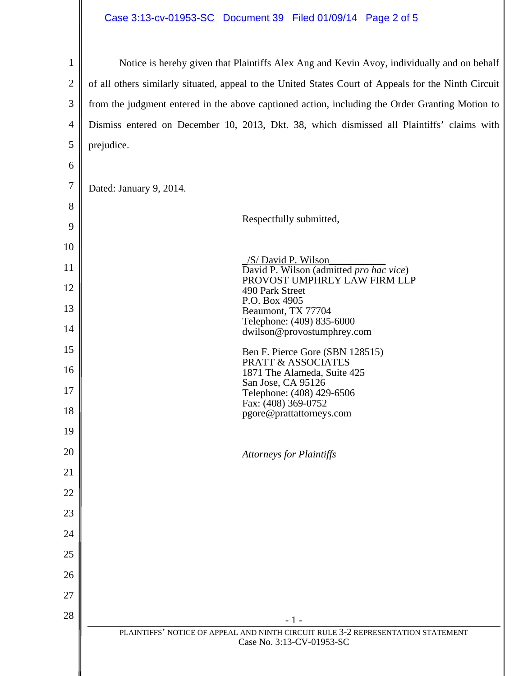## Case 3:13-cv-01953-SC Document 39 Filed 01/09/14 Page 2 of 5

| $\mathbf{1}$   | Notice is hereby given that Plaintiffs Alex Ang and Kevin Avoy, individually and on behalf                    |  |
|----------------|---------------------------------------------------------------------------------------------------------------|--|
| $\overline{2}$ | of all others similarly situated, appeal to the United States Court of Appeals for the Ninth Circuit          |  |
| 3              | from the judgment entered in the above captioned action, including the Order Granting Motion to               |  |
| $\overline{4}$ | Dismiss entered on December 10, 2013, Dkt. 38, which dismissed all Plaintiffs' claims with                    |  |
| 5              | prejudice.                                                                                                    |  |
| 6              |                                                                                                               |  |
| $\overline{7}$ | Dated: January 9, 2014.                                                                                       |  |
| 8              |                                                                                                               |  |
| 9              | Respectfully submitted,                                                                                       |  |
| 10             |                                                                                                               |  |
| 11             | /S/ David P. Wilson<br>David P. Wilson (admitted pro hac vice)                                                |  |
| 12             | PROVOST UMPHREY LAW FIRM LLP<br>490 Park Street                                                               |  |
| 13             | P.O. Box 4905<br>Beaumont, TX 77704                                                                           |  |
| 14             | Telephone: (409) 835-6000<br>dwilson@provostumphrey.com                                                       |  |
| 15             | Ben F. Pierce Gore (SBN 128515)                                                                               |  |
| 16             | <b>PRATT &amp; ASSOCIATES</b><br>1871 The Alameda, Suite 425                                                  |  |
| 17             | San Jose, CA 95126<br>Telephone: (408) 429-6506                                                               |  |
| 18             | Fax: (408) 369-0752<br>pgore@prattattorneys.com                                                               |  |
| 19             |                                                                                                               |  |
| 20             | <b>Attorneys for Plaintiffs</b>                                                                               |  |
| 21             |                                                                                                               |  |
| 22             |                                                                                                               |  |
| 23             |                                                                                                               |  |
| 24             |                                                                                                               |  |
| 25             |                                                                                                               |  |
| 26             |                                                                                                               |  |
| 27             |                                                                                                               |  |
| 28             | $-1-$                                                                                                         |  |
|                | PLAINTIFFS' NOTICE OF APPEAL AND NINTH CIRCUIT RULE 3-2 REPRESENTATION STATEMENT<br>Case No. 3:13-CV-01953-SC |  |
|                |                                                                                                               |  |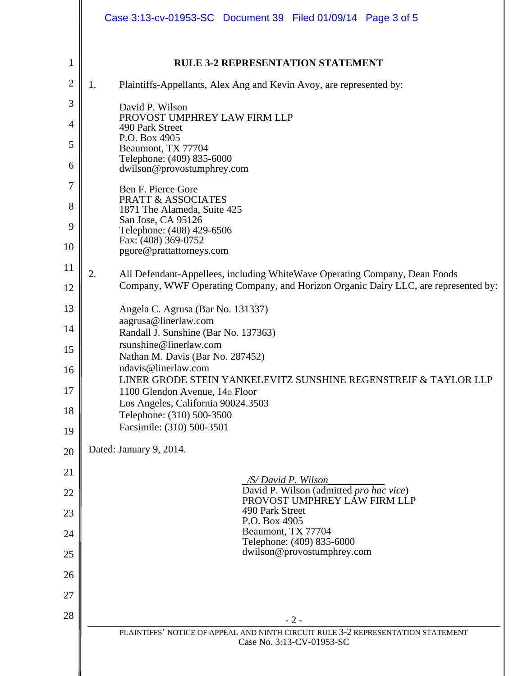|              | Case 3:13-cv-01953-SC Document 39 Filed 01/09/14 Page 3 of 5                                                                                                           |  |
|--------------|------------------------------------------------------------------------------------------------------------------------------------------------------------------------|--|
| $\mathbf{1}$ | <b>RULE 3-2 REPRESENTATION STATEMENT</b>                                                                                                                               |  |
| $\mathbf{2}$ | Plaintiffs-Appellants, Alex Ang and Kevin Avoy, are represented by:<br>1.                                                                                              |  |
| 3            | David P. Wilson                                                                                                                                                        |  |
| 4            | PROVOST UMPHREY LAW FIRM LLP<br>490 Park Street                                                                                                                        |  |
| 5            | P.O. Box 4905<br>Beaumont, TX 77704                                                                                                                                    |  |
| 6            | Telephone: (409) 835-6000<br>dwilson@provostumphrey.com                                                                                                                |  |
| 7            | Ben F. Pierce Gore                                                                                                                                                     |  |
| 8            | PRATT & ASSOCIATES<br>1871 The Alameda, Suite 425                                                                                                                      |  |
| 9            | San Jose, CA 95126<br>Telephone: (408) 429-6506<br>Fax: (408) 369-0752                                                                                                 |  |
| 10           | pgore@prattattorneys.com                                                                                                                                               |  |
| 11<br>12     | All Defendant-Appellees, including WhiteWave Operating Company, Dean Foods<br>2.<br>Company, WWF Operating Company, and Horizon Organic Dairy LLC, are represented by: |  |
| 13           | Angela C. Agrusa (Bar No. 131337)                                                                                                                                      |  |
| 14           | aagrusa@linerlaw.com<br>Randall J. Sunshine (Bar No. 137363)                                                                                                           |  |
| 15           | rsunshine@linerlaw.com<br>Nathan M. Davis (Bar No. 287452)                                                                                                             |  |
| 16           | ndavis@linerlaw.com<br>LINER GRODE STEIN YANKELEVITZ SUNSHINE REGENSTREIF & TAYLOR LLP                                                                                 |  |
| 17           | 1100 Glendon Avenue, 14th Floor<br>Los Angeles, California 90024.3503                                                                                                  |  |
| 18           | Telephone: (310) 500-3500<br>Facsimile: (310) 500-3501                                                                                                                 |  |
| 19           | Dated: January 9, 2014.                                                                                                                                                |  |
| 20           |                                                                                                                                                                        |  |
| 21           | /S/ David P. Wilson<br>David P. Wilson (admitted pro hac vice)                                                                                                         |  |
| 22<br>23     | PROVOST UMPHREY LAW FIRM LLP<br>490 Park Street                                                                                                                        |  |
| 24           | P.O. Box 4905<br>Beaumont, TX 77704                                                                                                                                    |  |
| 25           | Telephone: (409) 835-6000<br>dwilson@provostumphrey.com                                                                                                                |  |
| 26           |                                                                                                                                                                        |  |
| 27           |                                                                                                                                                                        |  |
| 28           | $-2-$                                                                                                                                                                  |  |
|              | PLAINTIFFS' NOTICE OF APPEAL AND NINTH CIRCUIT RULE 3-2 REPRESENTATION STATEMENT<br>Case No. 3:13-CV-01953-SC                                                          |  |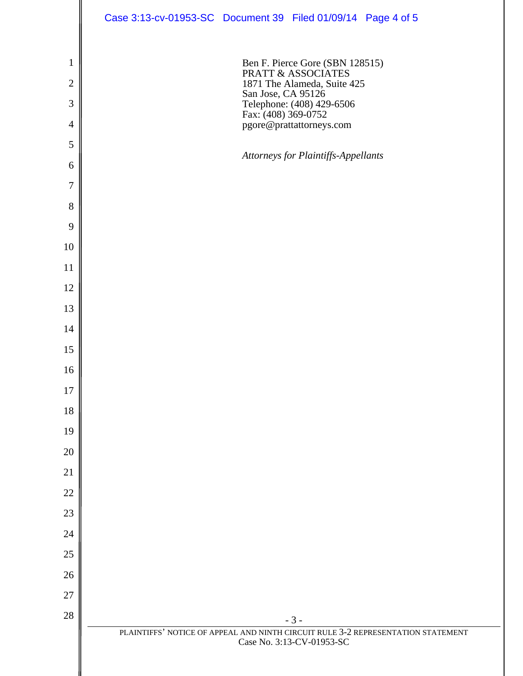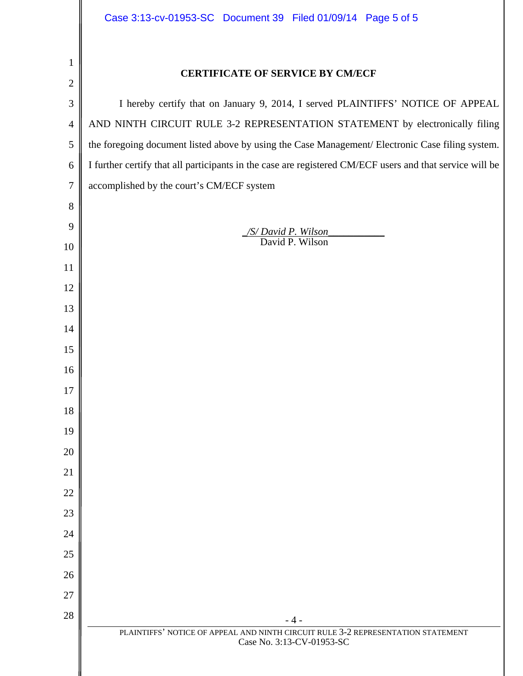| 1              |                                                                                                          |  |
|----------------|----------------------------------------------------------------------------------------------------------|--|
| $\overline{2}$ | <b>CERTIFICATE OF SERVICE BY CM/ECF</b>                                                                  |  |
| 3              | I hereby certify that on January 9, 2014, I served PLAINTIFFS' NOTICE OF APPEAL                          |  |
| $\overline{4}$ | AND NINTH CIRCUIT RULE 3-2 REPRESENTATION STATEMENT by electronically filing                             |  |
| 5              | the foregoing document listed above by using the Case Management/ Electronic Case filing system.         |  |
| 6              | I further certify that all participants in the case are registered CM/ECF users and that service will be |  |
| $\overline{7}$ | accomplished by the court's CM/ECF system                                                                |  |
| 8              |                                                                                                          |  |
| 9              | /S/David P. Wilson                                                                                       |  |
| 10             | David P. Wilson                                                                                          |  |
| 11             |                                                                                                          |  |
| 12             |                                                                                                          |  |
| 13             |                                                                                                          |  |
| 14             |                                                                                                          |  |
| 15<br>16       |                                                                                                          |  |
| 17             |                                                                                                          |  |
| 18             |                                                                                                          |  |
| 19             |                                                                                                          |  |
| 20             |                                                                                                          |  |
| 21             |                                                                                                          |  |
| 22             |                                                                                                          |  |
| 23             |                                                                                                          |  |
| 24             |                                                                                                          |  |
| 25             |                                                                                                          |  |
| 26             |                                                                                                          |  |
| 27             |                                                                                                          |  |
| 28             | - 4 -<br>PLAINTIFFS' NOTICE OF APPEAL AND NINTH CIRCUIT RULE 3-2 REPRESENTATION STATEMENT                |  |
|                | Case No. 3:13-CV-01953-SC                                                                                |  |
|                |                                                                                                          |  |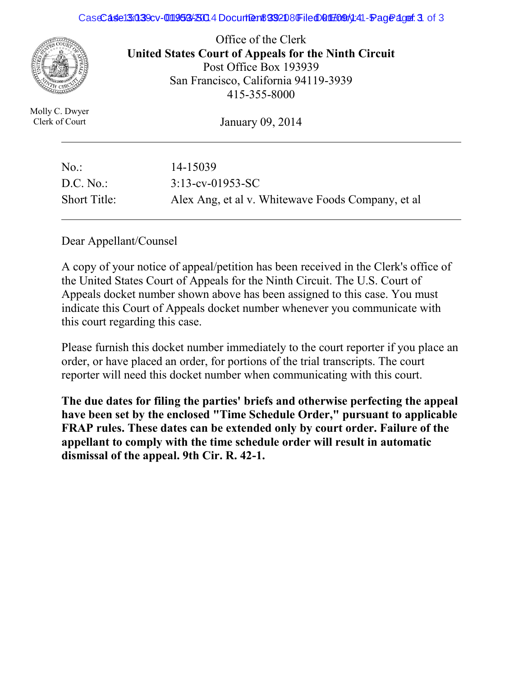#### CaseCase15039 07-0119534 8024 Document 8932080 Filed 01 Folded 41-Fraqe 3 of 3:13-co-01 Filed 01:13-co-01-01-0



Office of the Clerk **United States Court of Appeals for the Ninth Circuit**  Post Office Box 193939 San Francisco, California 94119-3939 415-355-8000

Molly C. Dwyer Clerk of Court

January 09, 2014

| $No.$ :             | 14-15039                                          |
|---------------------|---------------------------------------------------|
| D.C. No.            | $3:13$ -cv-01953-SC                               |
| <b>Short Title:</b> | Alex Ang, et al v. Whitewave Foods Company, et al |

Dear Appellant/Counsel

A copy of your notice of appeal/petition has been received in the Clerk's office of the United States Court of Appeals for the Ninth Circuit. The U.S. Court of Appeals docket number shown above has been assigned to this case. You must indicate this Court of Appeals docket number whenever you communicate with this court regarding this case.

Please furnish this docket number immediately to the court reporter if you place an order, or have placed an order, for portions of the trial transcripts. The court reporter will need this docket number when communicating with this court.

**The due dates for filing the parties' briefs and otherwise perfecting the appeal have been set by the enclosed "Time Schedule Order," pursuant to applicable FRAP rules. These dates can be extended only by court order. Failure of the appellant to comply with the time schedule order will result in automatic dismissal of the appeal. 9th Cir. R. 42-1.**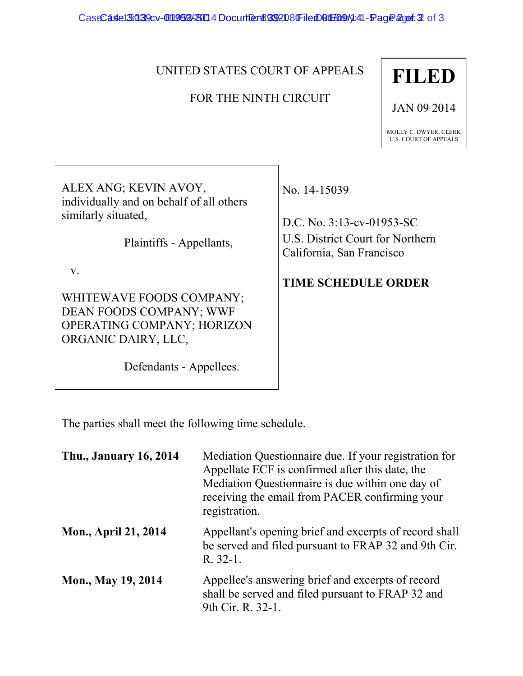CaseCase13039cv-01195343004 Document 392080 Filed 01 F09 4:41-Fage 2 of 3:13-cost 3

#### UNITED STATES COURT OF APPEALS

#### FOR THE NINTH CIRCUIT

# **FILED**

JAN 09 2014

MOLLY C. DWYER, CLERK U.S. COURT OF APPEALS

ALEX ANG; KEVIN AVOY, individually and on behalf of all others similarly situated,

Plaintiffs - Appellants,

v.

WHITEWAVE FOODS COMPANY; DEAN FOODS COMPANY; WWF OPERATING COMPANY; HORIZON ORGANIC DAIRY, LLC,

Defendants - Appellees.

No. 14-15039

D.C. No. 3:13-cv-01953-SC U.S. District Court for Northern California, San Francisco

### **TIME SCHEDULE ORDER**

The parties shall meet the following time schedule.

| <b>Thu., January 16, 2014</b> | Mediation Questionnaire due. If your registration for<br>Appellate ECF is confirmed after this date, the<br>Mediation Questionnaire is due within one day of<br>receiving the email from PACER confirming your<br>registration. |
|-------------------------------|---------------------------------------------------------------------------------------------------------------------------------------------------------------------------------------------------------------------------------|
| <b>Mon., April 21, 2014</b>   | Appellant's opening brief and excerpts of record shall<br>be served and filed pursuant to FRAP 32 and 9th Cir.<br>$R. 32-1.$                                                                                                    |
| <b>Mon., May 19, 2014</b>     | Appellee's answering brief and excerpts of record<br>shall be served and filed pursuant to FRAP 32 and<br>9th Cir. R. 32-1.                                                                                                     |